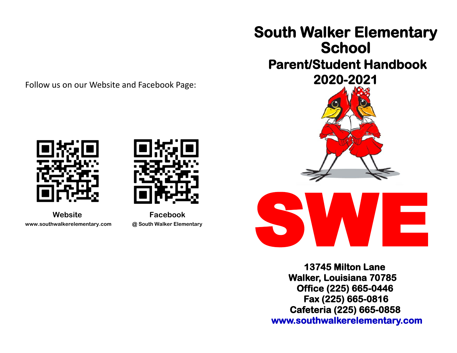Follow us on our Website and Facebook Page:





 **Website Facebook www.southwalkerelementary.com @ South Walker Elementary**







 **13745 Milton Lane Walker, Louisiana 70785 Office (225) 665-0446 Fax (225) 665-0816 Cafeteria (225) 665-0858 www.southwalkerelementary.com**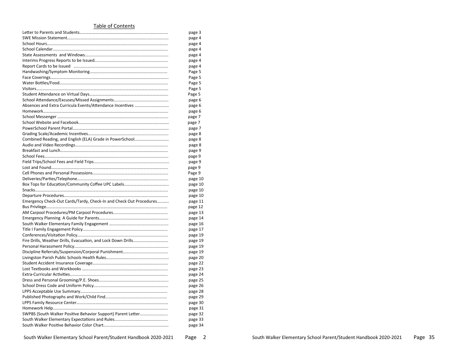#### Table of Contents

|                                                                    | page 3  |
|--------------------------------------------------------------------|---------|
|                                                                    | page 4  |
|                                                                    | page 4  |
|                                                                    | page 4  |
|                                                                    | page 4  |
|                                                                    | page 4  |
|                                                                    | page 4  |
|                                                                    | Page 5  |
|                                                                    | Page 5  |
|                                                                    | Page 5  |
|                                                                    | Page 5  |
|                                                                    | Page 5  |
|                                                                    | page 6  |
|                                                                    | page 6  |
|                                                                    | page 6  |
|                                                                    | page 7  |
|                                                                    | page 7  |
|                                                                    | page 7  |
|                                                                    | page 8  |
|                                                                    | page 8  |
|                                                                    |         |
|                                                                    | page 8  |
|                                                                    | page 9  |
|                                                                    | page 9  |
|                                                                    | page 9  |
|                                                                    | page 9  |
|                                                                    | Page 9  |
|                                                                    | page 10 |
|                                                                    | page 10 |
|                                                                    | page 10 |
|                                                                    | page 10 |
| Emergency Check-Out Cards/Tardy, Check-In and Check Out Procedures | page 11 |
|                                                                    | page 12 |
|                                                                    | page 13 |
|                                                                    | page 14 |
|                                                                    | page 16 |
|                                                                    | page 17 |
|                                                                    | page 19 |
| Fire Drills, Weather Drills, Evacuation, and Lock Down Drills      | page 19 |
|                                                                    | page 19 |
|                                                                    | page 19 |
|                                                                    | page 20 |
|                                                                    | page 22 |
|                                                                    | page 23 |
|                                                                    | page 24 |
|                                                                    | page 25 |
|                                                                    | page 26 |
|                                                                    | page 28 |
|                                                                    | page 29 |
|                                                                    | page 30 |
|                                                                    | page 31 |
| SWPBS (South Walker Positive Behavior Support) Parent Letter       | page 32 |
|                                                                    | page 33 |
|                                                                    | page 34 |
|                                                                    |         |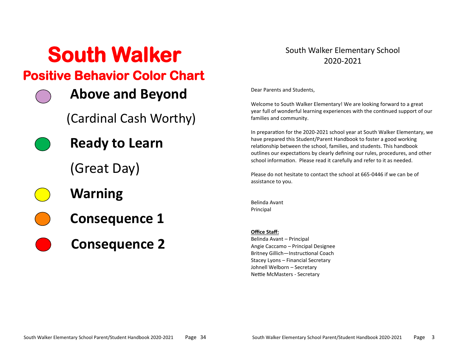# **South Walker Positive Behavior Color Chart**

**Above and Beyond**

(Cardinal Cash Worthy)

**Ready to Learn**

(Great Day)

- **Warning**
- **Consequence 1**
- **Consequence 2**

## South Walker Elementary School 2020-2021

Dear Parents and Students,

Welcome to South Walker Elementary! We are looking forward to a great year full of wonderful learning experiences with the continued support of our families and community.

In preparation for the 2020-2021 school year at South Walker Elementary, we have prepared this Student/Parent Handbook to foster a good working relationship between the school, families, and students. This handbook outlines our expectations by clearly defining our rules, procedures, and other school information. Please read it carefully and refer to it as needed.

Please do not hesitate to contact the school at 665-0446 if we can be of assistance to you.

Belinda Avant Principal

### **Office Staff:**

Belinda Avant – Principal Angie Caccamo – Principal Designee Britney Gillich—Instructional Coach Stacey Lyons – Financial Secretary Johnell Welborn – Secretary Nettie McMasters - Secretary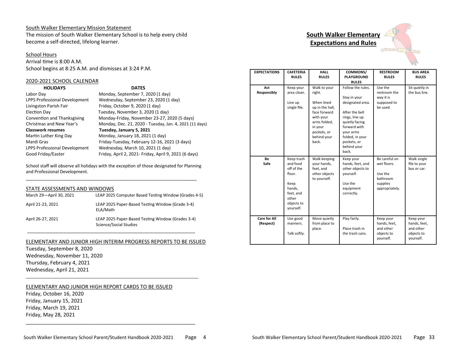#### South Walker Elementary Mission Statement

The mission of South Walker Elementary School is to help every child become a self-directed, lifelong learner.

#### School Hours

Arrival time is 8:00 A.M. School begins at 8:25 A.M. and dismisses at 3:24 P.M.

#### 2020-2021 SCHOOL CALENDAR

| <b>HOLIDAYS</b>               | <b>DATES</b>                                            |
|-------------------------------|---------------------------------------------------------|
| Labor Day                     | Monday, September 7, 2020 (1 day)                       |
| LPPS Professional Development | Wednesday, September 23, 2020 (1 day)                   |
| Livingston Parish Fair        | Friday, October 9, 2020 (1 day)                         |
| Election Day                  | Tuesday, November 3, 2020 (1 day)                       |
| Convention and Thanksgiving   | Monday-Friday, November 23-27, 2020 (5 days)            |
| Christmas and New Year's      | Monday, Dec. 21, 2020 - Tuesday, Jan. 4, 2021 (11 days) |
| <b>Classwork resumes</b>      | Tuesday, January 5, 2021                                |
| Martin Luther King Day        | Monday, January 18, 2021 (1 day)                        |
| Mardi Gras                    | Friday-Tuesday, February 12-16, 2021 (3 days)           |
| LPPS Professional Development | Wednesday, March 10, 2021 (1 day)                       |
| Good Friday/Easter            | Friday, April 2, 2021- Friday, April 9, 2021 (6 days)   |

School staff will observe all holidays with the exception of those designated for Planning and Professional Development. \_\_\_\_\_\_\_\_\_\_\_\_\_\_\_\_\_\_\_\_\_\_\_\_\_\_\_\_\_\_\_\_\_\_\_\_\_\_\_\_\_\_\_\_\_\_\_\_\_\_\_\_\_\_\_\_\_\_\_\_\_\_\_\_\_\_

#### STATE ASSESSMENTS AND WINDOWS

| March 29-April 30, 2021 | LEAP 2025 Computer Based Testing Window (Grades 4-5)                        |
|-------------------------|-----------------------------------------------------------------------------|
| April 21-23, 2021       | LEAP 2025 Paper-Based Testing Window (Grade 3-4)<br>ELA/Math                |
| April 26-27, 2021       | LEAP 2025 Paper-Based Testing Window (Grades 3-4)<br>Science/Social Studies |

#### ELEMENTARY AND JUNIOR HIGH INTERIM PROGRESS REPORTS TO BE ISSUED

\_\_\_\_\_\_\_\_\_\_\_\_\_\_\_\_\_\_\_\_\_\_\_\_\_\_\_\_\_\_\_\_\_\_\_\_\_\_\_\_\_\_\_\_\_\_\_\_\_\_\_\_\_\_\_\_\_\_\_\_\_\_\_\_\_

\_\_\_\_\_\_\_\_\_\_\_\_\_\_\_\_\_\_\_\_\_\_\_\_\_\_\_\_\_\_\_\_\_\_\_\_\_\_\_\_\_\_\_\_\_\_\_\_\_\_\_\_\_\_\_\_\_\_\_\_\_\_\_\_\_\_\_\_\_\_\_\_\_\_\_

Tuesday, September 8, 2020 Wednesday, November 11, 2020 Thursday, February 4, 2021 Wednesday, April 21, 2021

#### ELEMENTARY AND JUNIOR HIGH REPORT CARDS TO BE ISSUED

Friday, October 16, 2020 Friday, January 15, 2021 Friday, March 19, 2021 Friday, May 28, 2021

**South Walker Elementary** 

## **Expectations and Rules**



| <b>EXPECTATIONS</b>              | <b>CAFETERIA</b><br><b>RULES</b>                                                                                  | <b>HALL</b><br><b>RULES</b>                                                                                                                            | COMMONS/<br><b>PLAYGROUND</b><br><b>RULES</b>                                                                                                                                                      | <b>RESTROOM</b><br><b>RULES</b>                                                   | <b>BUS AREA</b><br><b>RULES</b>                                   |
|----------------------------------|-------------------------------------------------------------------------------------------------------------------|--------------------------------------------------------------------------------------------------------------------------------------------------------|----------------------------------------------------------------------------------------------------------------------------------------------------------------------------------------------------|-----------------------------------------------------------------------------------|-------------------------------------------------------------------|
| Act<br>Responsibly               | Keep your<br>area clean.<br>Line up<br>single file.                                                               | Walk to your<br>right.<br>When lined<br>up in the hall,<br>face forward<br>with your<br>arms folded,<br>in your<br>pockets, or<br>behind your<br>back. | Follow the rules.<br>Stay in your<br>designated area.<br>After the bell<br>rings, line up<br>quietly facing<br>forward with<br>vour arms<br>folded, in your<br>pockets, or<br>behind your<br>back. | Use the<br>restroom the<br>way it is<br>supposed to<br>be used.                   | Sit quietly in<br>the bus line.                                   |
| Be<br>Safe                       | Keep trash<br>and food<br>off of the<br>floor.<br>Keep<br>hands,<br>feet, and<br>other<br>objects to<br>yourself. | Walk keeping<br>your hands,<br>feet, and<br>other objects<br>to yourself.                                                                              | Keep your<br>hands, feet, and<br>other objects to<br>vourself.<br>Use the<br>equipment<br>correctly.                                                                                               | Be careful on<br>wet floors.<br>Use the<br>bathroom<br>supplies<br>appropriately. | Walk single<br>file to your<br>bus or car.                        |
| <b>Care for All</b><br>(Respect) | Use good<br>manners.<br>Talk softly.                                                                              | Move quietly<br>from place to<br>place.                                                                                                                | Play fairly.<br>Place trash in<br>the trash cans.                                                                                                                                                  | Keep your<br>hands, feet,<br>and other<br>objects to<br>yourself.                 | Keep your<br>hands, feet,<br>and other<br>objects to<br>yourself. |

\_\_\_\_\_\_\_\_\_\_\_\_\_\_\_\_\_\_\_\_\_\_\_\_\_\_\_\_\_\_\_\_\_\_\_\_\_\_\_\_\_\_\_\_\_\_\_\_\_\_\_\_\_\_\_\_\_\_\_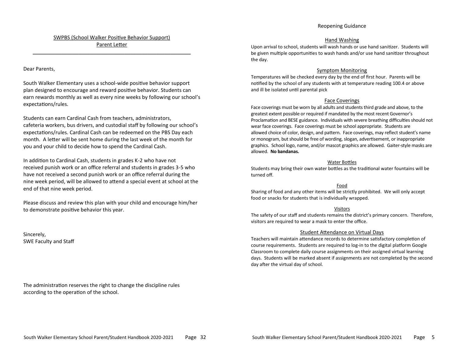### SWPBS (School Walker Positive Behavior Support) Parent Letter \_\_\_\_\_\_\_\_\_\_\_\_\_\_\_\_\_\_\_\_\_\_\_\_\_\_\_\_\_\_\_\_\_\_\_\_\_\_\_\_\_\_\_\_\_\_\_\_\_\_\_\_\_\_\_

#### Dear Parents,

South Walker Elementary uses a school-wide positive behavior support plan designed to encourage and reward positive behavior. Students can earn rewards monthly as well as every nine weeks by following our school's expectations/rules.

Students can earn Cardinal Cash from teachers, administrators, cafeteria workers, bus drivers, and custodial staff by following our school's expectations/rules. Cardinal Cash can be redeemed on the PBS Day each month. A letter will be sent home during the last week of the month for you and your child to decide how to spend the Cardinal Cash.

In addition to Cardinal Cash, students in grades K-2 who have not received punish work or an office referral and students in grades 3-5 who have not received a second punish work or an office referral during the nine week period, will be allowed to attend a special event at school at the end of that nine week period.

Please discuss and review this plan with your child and encourage him/her to demonstrate positive behavior this year.

Sincerely, SWE Faculty and Staff

The administration reserves the right to change the discipline rules according to the operation of the school.

#### Hand Washing

Upon arrival to school, students will wash hands or use hand sanitizer. Students will be given multiple opportunities to wash hands and/or use hand sanitizer throughout the day.

#### Symptom Monitoring

Temperatures will be checked every day by the end of first hour. Parents will be notified by the school of any students with at temperature reading 100.4 or above and ill be isolated until parental pick

#### Face Coverings

Face coverings must be worn by all adults and students third grade and above, to the greatest extent possible or required if mandated by the most recent Governor's Proclamation and BESE guidance. Individuals with severe breathing difficulties should not wear face coverings. Face coverings must be school appropriate. Students are allowed choice of color, design, and pattern. Face coverings, may reflect student's name or monogram, but should be free of wording, slogan, advertisement, or inappropriate graphics. School logo, name, and/or mascot graphics are allowed. Gaiter-style masks are allowed. **No bandanas.**

#### Water Bottles

Students may bring their own water bottles as the traditional water fountains will be turned off.

#### Food

Sharing of food and any other items will be strictly prohibited. We will only accept food or snacks for students that is individually wrapped.

#### Visitors

The safety of our staff and students remains the district's primary concern. Therefore, visitors are required to wear a mask to enter the office.

#### Student Attendance on Virtual Days

Teachers will maintain attendance records to determine satisfactory completion of course requirements. Students are required to log-in to the digital platform Google Classroom to complete daily course assignments on their assigned virtual learning days. Students will be marked absent if assignments are not completed by the second day after the virtual day of school.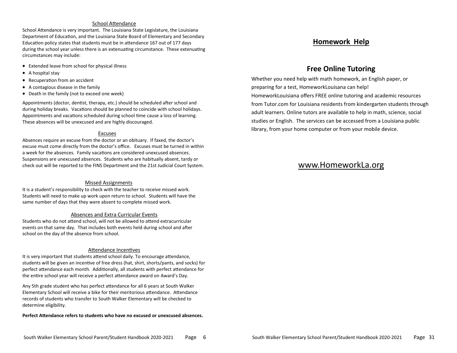#### School Attendance

School Attendance is very important. The Louisiana State Legislature, the Louisiana Department of Education, and the Louisiana State Board of Elementary and Secondary Education policy states that students must be in attendance 167 out of 177 days during the school year unless there is an extenuating circumstance. These extenuating circumstances may include:

- Extended leave from school for physical illness
- A hospital stay
- Recuperation from an accident
- A contagious disease in the family
- Death in the family (not to exceed one week)

Appointments (doctor, dentist, therapy, etc.) should be scheduled after school and during holiday breaks. Vacations should be planned to coincide with school holidays. Appointments and vacations scheduled during school time cause a loss of learning. These absences will be unexcused and are highly discouraged.

#### Excuses

Absences require an excuse from the doctor or an obituary. If faxed, the doctor's excuse must come directly from the doctor's office. Excuses must be turned in within a week for the absences. Family vacations are considered unexcused absences. Suspensions are unexcused absences. Students who are habitually absent, tardy or check out will be reported to the FINS Department and the 21st Judicial Court System.

#### Missed Assignments

It is a student's responsibility to check with the teacher to receive missed work. Students will need to make up work upon return to school. Students will have the same number of days that they were absent to complete missed work.

#### Absences and Extra Curricular Events

Students who do not attend school, will not be allowed to attend extracurricular events on that same day. That includes both events held during school and after school on the day of the absence from school.

#### Attendance Incentives

It is very important that students attend school daily. To encourage attendance, students will be given an incentive of free dress (hat, shirt, shorts/pants, and socks) for perfect attendance each month. Additionally, all students with perfect attendance for the entire school year will receive a perfect attendance award on Award's Day.

Any 5th grade student who has perfect attendance for all 6 years at South Walker Elementary School will receive a bike for their meritorious attendance. Attendance records of students who transfer to South Walker Elementary will be checked to determine eligibility.

**Perfect Attendance refers to students who have no excused or unexcused absences.** 

## **Homework Help**

## **Free Online Tutoring**

Whether you need help with math homework, an English paper, or preparing for a test, HomeworkLouisana can help! HomeworkLouisiana offers FREE online tutoring and academic resources from Tutor.com for Louisiana residents from kindergarten students through adult learners. Online tutors are available to help in math, science, social studies or English. The services can be accessed from a Louisiana public library, from your home computer or from your mobile device.

## www.HomeworkLa.org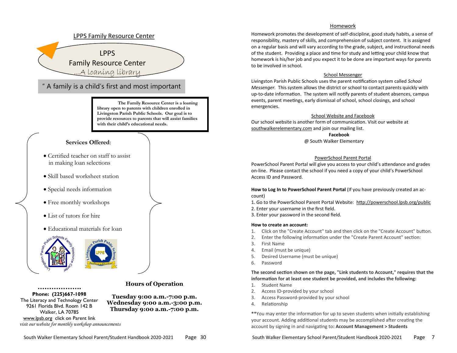

#### Homework

Homework promotes the development of self-discipline, good study habits, a sense of responsibility, mastery of skills, and comprehension of subject content. It is assigned on a regular basis and will vary according to the grade, subject, and instructional needs of the student. Providing a place and time for study and letting your child know that homework is his/her job and you expect it to be done are important ways for parents to be involved in school.

#### School Messenger

Livingston Parish Public Schools uses the parent notification system called *School Messenger.* This system allows the district or school to contact parents quickly with up-to-date information. The system will notify parents of student absences, campus events, parent meetings, early dismissal of school, school closings, and school emergencies.

#### School Website and Facebook

Our school website is another form of communication. Visit our website at southwalkerelementary.com and join our mailing list.

**Facebook** 

@ South Walker Elementary

#### PowerSchool Parent Portal

PowerSchool Parent Portal will give you access to your child's attendance and grades on-line. Please contact the school if you need a copy of your child's PowerSchool Access ID and Password.

**How to Log In to PowerSchool Parent Portal** (If you have previously created an account)

- 1. Go to the PowerSchool Parent Portal Website: <http://powerschool.lpsb.org/public>
- 2. Enter your username in the first field.
- 3. Enter your password in the second field.

#### **How to create an account:**

- 1. Click on the "Create Account" tab and then click on the "Create Account" button.
- 2. Enter the following information under the "Create Parent Account" section:
- 3. First Name
- 4. Email (must be unique)
- 5. Desired Username (must be unique)
- 6. Password

**The second section shown on the page, "Link students to Account," requires that the information for at least one student be provided, and includes the following:**

- 1. Student Name
- 2. Access ID-provided by your school
- 3. Access Password-provided by your school
- 4. Relationship

**\*\***You may enter the information for up to seven students when initially establishing your account. Adding additional students may be accomplished after creating the account by signing in and navigating to**: Account Management > Students**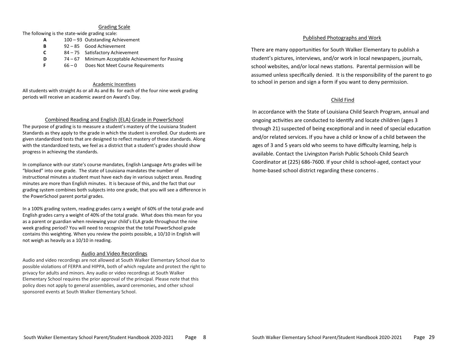#### Grading Scale

The following is the state-wide grading scale:

- **A** 100 93 Outstanding Achievement
- **B** 92 85 Good Achievement
- **C** 84 75 Satisfactory Achievement
- **D** 74 67 Minimum Acceptable Achievement for Passing
- **F** 66 0 Does Not Meet Course Requirements

#### Academic Incentives

All students with straight As or all As and Bs for each of the four nine week grading periods will receive an academic award on Award's Day.

#### Combined Reading and English (ELA) Grade in PowerSchool

The purpose of grading is to measure a student's mastery of the Louisiana Student Standards as they apply to the grade in which the student is enrolled. Our students are given standardized tests that are designed to reflect mastery of these standards. Along with the standardized tests, we feel as a district that a student's grades should show progress in achieving the standards.

In compliance with our state's course mandates, English Language Arts grades will be "blocked" into one grade. The state of Louisiana mandates the number of instructional minutes a student must have each day in various subject areas. Reading minutes are more than English minutes. It is because of this, and the fact that our grading system combines both subjects into one grade, that you will see a difference in the PowerSchool parent portal grades.

In a 100% grading system, reading grades carry a weight of 60% of the total grade and English grades carry a weight of 40% of the total grade. What does this mean for you as a parent or guardian when reviewing your child's ELA grade throughout the nine week grading period? You will need to recognize that the total PowerSchool grade contains this weighting. When you review the points possible, a 10/10 in English will not weigh as heavily as a 10/10 in reading.

#### Audio and Video Recordings

Audio and video recordings are not allowed at South Walker Elementary School due to possible violations of FERPA and HIPPA, both of which regulate and protect the right to privacy for adults and minors. Any audio or video recordings at South Walker Elementary School requires the prior approval of the principal. Please note that this policy does not apply to general assemblies, award ceremonies, and other school sponsored events at South Walker Elementary School.

#### Published Photographs and Work

There are many opportunities for South Walker Elementary to publish a student's pictures, interviews, and/or work in local newspapers, journals, school websites, and/or local news stations. Parental permission will be assumed unless specifically denied. It is the responsibility of the parent to go to school in person and sign a form if you want to deny permission.

#### Child Find

In accordance with the State of Louisiana Child Search Program, annual and ongoing activities are conducted to identify and locate children (ages 3 through 21) suspected of being exceptional and in need of special education and/or related services. If you have a child or know of a child between the ages of 3 and 5 years old who seems to have difficulty learning, help is available. Contact the Livingston Parish Public Schools Child Search Coordinator at (225) 686-7600. If your child is school-aged, contact your home-based school district regarding these concerns .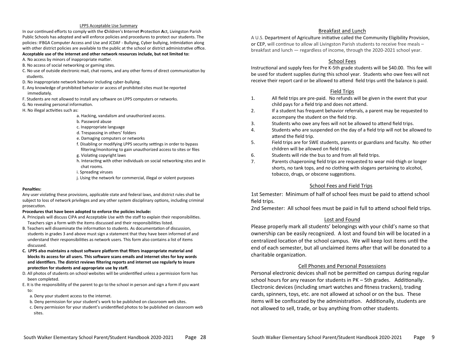#### LPPS Acceptable Use Summary

In our continued efforts to comply with the **C**hildren's **I**nternet **P**rotection **A**ct, Livingston Parish Public Schools has adopted and will enforce policies and procedures to protect our students. The policies: IFBGA Computer Access and Use and JCDAF - Bullying, Cyber bullying, Intimidation along with other district policies are available to the public at the school or district administrative office. **Acceptable use of the internet and other network resources include, but not limited to:** 

- A. No access by minors of inappropriate matter.
- B. No access of social networking or gaming sites.
- C. No use of outside electronic mail, chat rooms, and any other forms of direct communication by students.
- D. No inappropriate network behavior including cyber-bullying.
- E. Any knowledge of prohibited behavior or access of prohibited sites must be reported immediately.
- F. Students are not allowed to install any software on LPPS computers or networks.
- G. No revealing personal information.
- H. No illegal activities such as:
	- a. Hacking, vandalism and unauthorized access.
	- b. Password abuse
	- c. Inappropriate language
	- d. Trespassing in others' folders
	- e. Damaging computers or networks
	- f. Disabling or modifying LPPS security settings in order to bypass filtering/monitoring to gain unauthorized access to sites or files
	- g. Violating copyright laws
	- h. Interacting with other individuals on social networking sites and in chat rooms.
	- i. Spreading viruses
	- j. Using the network for commercial, illegal or violent purposes

#### **Penalties:**

Any user violating these provisions, applicable state and federal laws, and district rules shall be subject to loss of network privileges and any other system disciplinary options, including criminal prosecution.

#### **Procedures that have been adopted to enforce the policies include:**

- A. Principals will discuss CIPA and Acceptable Use with the staff to explain their responsibilities. Teachers sign a form with the items discussed and their responsibilities listed.
- B. Teachers will disseminate the information to students. As documentation of discussion, students in grades 3 and above must sign a statement that they have been informed of and understand their responsibilities as network users. This form also contains a list of items discussed.
- **C. LPPS also maintains a robust software platform that filters inappropriate material and blocks its access for all users. This software scans emails and internet sites for key words and identifiers. The district reviews filtering reports and internet use regularly to insure protection for students and appropriate use by staff.**
- D. All photos of students on school websites will be unidentified unless a permission form has been completed.
- E. It is the responsibility of the parent to go to the school in person and sign a form if you want to:
	- a. Deny your student access to the internet.
	- b. Deny permission for your student's work to be published on classroom web sites.
	- c. Deny permission for your student's unidentified photos to be published on classroom web sites.

#### Breakfast and Lunch

A U.S. Department of Agriculture initiative called the Community Eligibility Provision, [or](https://www.fns.usda.gov/school-meals/community-eligibility-provision) CEP, will continue to allow all Livingston Parish students to receive free meals – breakfast and lunch — regardless of income, through the 2020-2021 school year.

#### School Fees

Instructional and supply fees for Pre K-5th grade students will be \$40.00. This fee will be used for student supplies during this school year. Students who owe fees will not receive their report card or be allowed to attend field trips until the balance is paid.

#### Field Trips

- 1. All field trips are pre-paid. No refunds will be given in the event that your child pays for a field trip and does not attend.
- 2. If a student has frequent behavior referrals, a parent may be requested to accompany the student on the field trip.
- 3. Students who owe any fees will not be allowed to attend field trips.
- 4. Students who are suspended on the day of a field trip will not be allowed to attend the field trip.
- 5. Field trips are for SWE students, parents or guardians and faculty. No other children will be allowed on field trips.
- 6. Students will ride the bus to and from all field trips.
- 7. Parents chaperoning field trips are requested to wear mid-thigh or longer shorts, no tank tops, and no clothing with slogans pertaining to alcohol, tobacco, drugs, or obscene suggestions.

#### School Fees and Field Trips

1st Semester: Minimum of half of school fees must be paid to attend school field trips.

2nd Semester: All school fees must be paid in full to attend school field trips.

#### Lost and Found

Please properly mark all students' belongings with your child's name so that ownership can be easily recognized. A lost and found bin will be located in a centralized location of the school campus. We will keep lost items until the end of each semester, but all unclaimed items after that will be donated to a charitable organization.

#### Cell Phones and Personal Possessions

Personal electronic devices shall not be permitted on campus during regular school hours for any reason for students in PK – 5th grades. Additionally. Electronic devices (including smart watches and fitness trackers), trading cards, spinners, toys, etc. are not allowed at school or on the bus. These items will be confiscated by the administration. Additionally, students are not allowed to sell, trade, or buy anything from other students.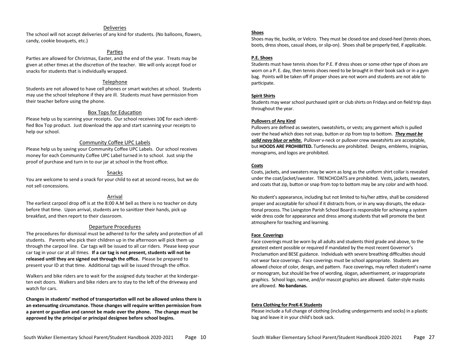#### Deliveries

The school will not accept deliveries of any kind for students. (No balloons, flowers, candy, cookie bouquets, etc.)

#### Parties

Parties are allowed for Christmas, Easter, and the end of the year. Treats may be given at other times at the discretion of the teacher. We will only accept food or snacks for students that is individually wrapped.

#### **Telephone**

Students are not allowed to have cell phones or smart watches at school. Students may use the school telephone if they are ill. Students must have permission from their teacher before using the phone.

#### Box Tops for Education

Please help us by scanning your receipts. Our school receives 10¢ for each identified Box Top product. Just download the app and start scanning your receipts to help our school.

#### Community Coffee UPC Labels

Please help us by saving your Community Coffee UPC Labels. Our school receives money for each Community Coffee UPC Label turned in to school. Just snip the proof of purchase and turn in to our jar at school in the front office.

#### Snacks

You are welcome to send a snack for your child to eat at second recess, but we do not sell concessions.

#### Arrival

The earliest carpool drop off is at the 8:00 A.M bell as there is no teacher on duty before that time. Upon arrival, students are to sanitizer their hands, pick up breakfast, and then report to their classroom.

#### Departure Procedures

The procedures for dismissal must be adhered to for the safety and protection of all students. Parents who pick their children up in the afternoon will pick them up through the carpool line. Car tags will be issued to all car riders. Please keep your car tag in your car at all times. **If a car tag is not present, students will not be released until they are signed out through the office.** Please be prepared to present your ID at that time. Additional tags will be issued through the office.

Walkers and bike riders are to wait for the assigned duty teacher at the kindergarten exit doors. Walkers and bike riders are to stay to the left of the driveway and watch for cars.

**Changes in students' method of transportation will not be allowed unless there is an extenuating circumstance. Those changes will require written permission from a parent or guardian and cannot be made over the phone. The change must be approved by the principal or principal designee before school begins.** 

#### **Shoes**

Shoes may tie, buckle, or Velcro. They must be closed-toe and closed-heel (tennis shoes, boots, dress shoes, casual shoes, or slip-on). Shoes shall be properly tied, if applicable.

#### **P.E. Shoes**

Students must have tennis shoes for P.E. If dress shoes or some other type of shoes are worn on a P. E. day, then tennis shoes need to be brought in their book sack or in a gym bag. Points will be taken off if proper shoes are not worn and students are not able to participate.

#### **Spirit Shirts**

Students may wear school purchased spirit or club shirts on Fridays and on field trip days throughout the year.

#### **Pullovers of Any Kind**

Pullovers are defined as sweaters, sweatshirts, or vests; any garment which is pulled over the head which does not snap, button or zip from top to bottom. *They must be solid navy blue or white.* Pullover v-neck or pullover crew sweatshirts are acceptable, but **HOODS ARE PROHIBITED.** Turtlenecks are prohibited. Designs, emblems, insignias, monograms, and logos are prohibited.

#### **Coats**

Coats, jackets, and sweaters may be worn as long as the uniform shirt collar is revealed under the coat/jacket/sweater. TRENCHCOATS are prohibited. Vests, jackets, sweaters, and coats that zip, button or snap from top to bottom may be any color and with hood.

No student's appearance, including but not limited to his/her attire, shall be considered proper and acceptable for school if it distracts from, or in any way disrupts, the educational process. The Livingston Parish School Board is responsible for achieving a system wide dress code for appearance and dress among students that will promote the best atmosphere for teaching and learning.

#### **Face Coverings**

Face coverings must be worn by all adults and students third grade and above, to the greatest extent possible or required if mandated by the most recent Governor's Proclamation and BESE guidance. Individuals with severe breathing difficulties should not wear face coverings. Face coverings must be school appropriate. Students are allowed choice of color, design, and pattern. Face coverings, may reflect student's name or monogram, but should be free of wording, slogan, advertisement, or inappropriate graphics. School logo, name, and/or mascot graphics are allowed. Gaiter-style masks are allowed. **No bandanas.**

#### **Extra Clothing for PreK-K Students**

Please include a full change of clothing (including undergarments and socks) in a plastic bag and leave it in your child's book sack.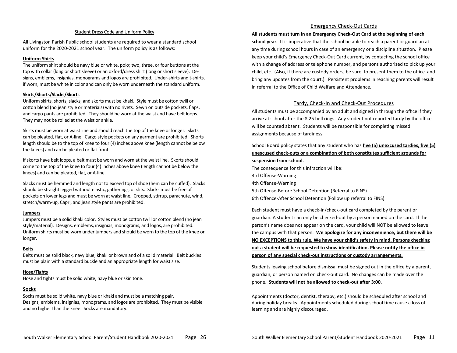#### Student Dress Code and Uniform Policy

All Livingston Parish Public school students are required to wear a standard school uniform for the 2020-2021 school year. The uniform policy is as follows:

#### **Uniform Shirts**

The uniform shirt should be navy blue or white, polo; two, three, or four buttons at the top with collar (long or short sleeve) or an oxford/dress shirt (long or short sleeve). Designs, emblems, insignias, monograms and logos are prohibited. Under-shirts and t-shirts, if worn, must be white in color and can only be worn underneath the standard uniform.

#### **Skirts/Shorts/Slacks/Skorts**

Uniform skirts, shorts, slacks, and skorts must be khaki. Style must be cotton twill or cotton blend (no jean style or materials) with no rivets. Sewn on outside pockets, flaps, and cargo pants are prohibited. They should be worn at the waist and have belt loops. They may not be rolled at the waist or ankle.

Skirts must be worn at waist line and should reach the top of the knee or longer. Skirts can be pleated, flat, or A-line. Cargo style pockets on any garment are prohibited. Shorts length should be to the top of knee to four (4) inches above knee (length cannot be below the knees) and can be pleated or flat front.

If skorts have belt loops, a belt must be worn and worn at the waist line. Skorts should come to the top of the knee to four (4) inches above knee (length cannot be below the knees) and can be pleated, flat, or A-line.

Slacks must be hemmed and length not to exceed top of shoe (hem can be cuffed). Slacks should be straight legged without elastic, gatherings, or slits. Slacks must be free of pockets on lower legs and must be worn at waist line. Cropped, stirrup, parachute, wind, stretch/warm-up, Capri, and jean style pants are prohibited.

#### **Jumpers**

Jumpers must be a solid khaki color. Styles must be cotton twill or cotton blend (no jean style/material). Designs, emblems, insignias, monograms, and logos, are prohibited. Uniform shirts must be worn under jumpers and should be worn to the top of the knee or longer.

#### **Belts**

Belts must be solid black, navy blue, khaki or brown and of a solid material. Belt buckles must be plain with a standard buckle and an appropriate length for waist size.

#### **Hose/Tights**

Hose and tights must be solid white, navy blue or skin tone.

#### **Socks**

Socks must be solid white, navy blue or khaki and must be a matching pair**.** Designs, emblems, insignias, monograms, and logos are prohibited. They must be visible and no higher than the knee. Socks are mandatory.

#### Emergency Check-Out Cards

**All students must turn in an Emergency Check-Out Card at the beginning of each school year.** It is imperative that the school be able to reach a parent or guardian at any time during school hours in case of an emergency or a discipline situation. Please keep your child's Emergency Check-Out Card current, by contacting the school office with a change of address or telephone number, and persons authorized to pick up your child, etc. (Also, if there are custody orders, be sure to present them to the office and bring any updates from the court.) Persistent problems in reaching parents will result in referral to the Office of Child Welfare and Attendance.

#### Tardy, Check-In and Check-Out Procedures

All students must be accompanied by an adult and signed in through the office if they arrive at school after the 8:25 bell rings. Any student not reported tardy by the office will be counted absent. Students will be responsible for completing missed assignments because of tardiness.

#### School Board policy states that any student who has **five (5) unexcused tardies, five (5) unexcused check-outs or a combination of both constitutes sufficient grounds for suspension from school.**

The consequence for this infraction will be: 3rd Offense-Warning 4th Offense-Warning 5th Offense-Before School Detention (Referral to FINS) 6th Offence-After School Detention (Follow up referral to FINS)

Each student must have a check-in/check-out card completed by the parent or guardian. A student can only be checked-out by a person named on the card. If the person's name does not appear on the card, your child will NOT be allowed to leave the campus with that person. **We apologize for any inconvenience, but there will be NO EXCEPTIONS to this rule. We have your child's safety in mind. Persons checking out a student will be requested to show identification. Please notify the office in person of any special check-out instructions or custody arrangements.**

Students leaving school before dismissal must be signed out in the office by a parent, guardian, or person named on check-out card. No changes can be made over the phone. **Students will not be allowed to check-out after 3:00.** 

Appointments (doctor, dentist, therapy, etc.) should be scheduled after school and during holiday breaks. Appointments scheduled during school time cause a loss of learning and are highly discouraged.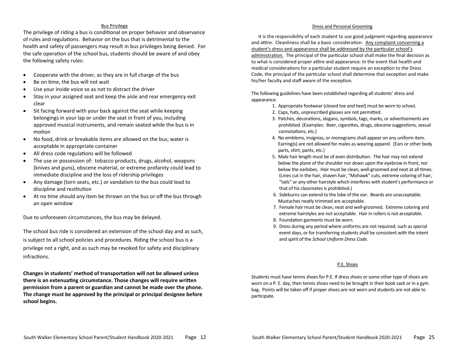#### Bus Privilege

The privilege of riding a bus is conditional on proper behavior and observance of rules and regulations. Behavior on the bus that is detrimental to the health and safety of passengers may result in bus privileges being denied. For the safe operation of the school bus, students should be aware of and obey the following safety rules:

- Cooperate with the driver, as they are in full charge of the bus
- Be on time, the bus will not wait
- Use your inside voice so as not to distract the driver
- Stay in your assigned seat and keep the aisle and rear emergency exit clear
- Sit facing forward with your back against the seat while keeping belongings in your lap or under the seat in front of you, including approved musical instruments, and remain seated while the bus is in motion
- No food, drink or breakable items are allowed on the bus; water is acceptable in appropriate container
- All dress code regulations will be followed
- The use or possession of: tobacco products, drugs, alcohol, weapons (knives and guns), obscene material, or extreme profanity could lead to immediate discipline and the loss of ridership privileges
- Any damage (torn seats, etc.) or vandalism to the bus could lead to discipline and restitution
- At no time should any item be thrown on the bus or off the bus through an open window

Due to unforeseen circumstances, the bus may be delayed.

The school bus ride is considered an extension of the school day and as such, is subject to all school policies and procedures. Riding the school bus is a privilege not a right, and as such may be revoked for safety and disciplinary infractions.

**Changes in students' method of transportation will not be allowed unless there is an extenuating circumstance. Those changes will require written permission from a parent or guardian and cannot be made over the phone. The change must be approved by the principal or principal designee before school begins.** 

#### Dress and Personal Grooming

 It is the responsibility of each student to use good judgment regarding appearance and attire. Cleanliness shall be a basic consideration. Any complaint concerning a student's dress and appearance shall be addressed by the particular school's administration. The principal of the particular school shall make the final decision as to what is considered proper attire and appearance. In the event that health and medical considerations for a particular student require an exception to the Dress Code, the principal of the particular school shall determine that exception and make his/her faculty and staff aware of the exception.

The following guidelines have been established regarding all students' dress and appearance:

- 1. Appropriate footwear (closed toe and heel) must be worn to school.
- 2. Caps, hats, unprescribed glasses are not permitted.
- 3. Patches, decorations, slogans, symbols, tags, marks, or advertisements are prohibited. (Examples: Beer, cigarettes, drugs, obscene suggestions, sexual connotations, etc.)
- 4. No emblems, insignias, or monograms shall appear on any uniform item. Earring(s) are not allowed for males as wearing apparel. (Ears or other body parts, shirt, pants, etc.)
- 5. Male hair length must be of even distribution. The hair may not extend below the plane of the shoulder nor down upon the eyebrow in front, nor below the earlobes. Hair must be clean, well-groomed and neat at all times. (Lines cut in the hair, shaven hair, "Mohawk" cuts, extreme coloring of hair, "tails" or any other hairstyle which interferes with student's performance or that of his classmates is prohibited.)
- 6. Sideburns can extend to the lobe of the ear. Beards are unacceptable. Mustaches neatly trimmed are acceptable.
- 7. Female hair must be clean, neat and well-groomed. Extreme coloring and extreme hairstyles are not acceptable. Hair in rollers is not acceptable.
- 8. Foundation garments must be worn.
- 9. Dress during any period where uniforms are not required, such as special event days, or for transferring students shall be consistent with the intent and spirit of the *School Uniform Dress Code.*

#### P.E. Shoes

Students must have tennis shoes for P.E. If dress shoes or some other type of shoes are worn on a P. E. day, then tennis shoes need to be brought in their book sack or in a gym bag. Points will be taken off if proper shoes are not worn and students are not able to participate.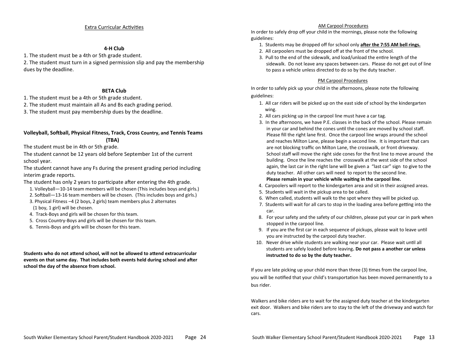#### Extra Curricular Activities

#### **4-H Club**

1. The student must be a 4th or 5th grade student.

2. The student must turn in a signed permission slip and pay the membership dues by the deadline.

#### **BETA Club**

1. The student must be a 4th or 5th grade student.

- 2. The student must maintain all As and Bs each grading period.
- 3. The student must pay membership dues by the deadline.

#### **Volleyball, Softball, Physical Fitness, Track, Cross Country, and Tennis Teams (TBA)**

The student must be in 4th or 5th grade.

The student cannot be 12 years old before September 1st of the current school year.

The student cannot have any Fs during the present grading period including interim grade reports.

- The student has only 2 years to participate after entering the 4th grade.
	- 1. Volleyball—10-14 team members will be chosen (This includes boys and girls.)
	- 2. Softball—13-16 team members will be chosen. (This includes boys and girls.)
	- 3. Physical Fitness –4 (2 boys, 2 girls) team members plus 2 alternates (1 boy, 1 girl) will be chosen.
	- 4. Track-Boys and girls will be chosen for this team.
	- 5. Cross Country-Boys and girls will be chosen for this team.
	- 6. Tennis-Boys and girls will be chosen for this team.

**Students who do not attend school, will not be allowed to attend extracurricular events on that same day. That includes both events held during school and after school the day of the absence from school.** 

#### AM Carpool Procedures

In order to safely drop off your child in the mornings, please note the following guidelines:

- 1. Students may be dropped off for school only **after the 7:55 AM bell rings.**
- 2. All carpoolers must be dropped off at the front of the school.
- 3. Pull to the end of the sidewalk, and load/unload the entire length of the sidewalk. Do not leave any spaces between cars. Please do not get out of line to pass a vehicle unless directed to do so by the duty teacher.

#### PM Carpool Procedures

In order to safely pick up your child in the afternoons, please note the following guidelines:

- 1. All car riders will be picked up on the east side of school by the kindergarten wing.
- 2. All cars picking up in the carpool line must have a car tag.
- 3. In the afternoons, we have P.E. classes in the back of the school. Please remain in your car and behind the cones until the cones are moved by school staff. Please fill the right lane first. Once the carpool line wraps around the school and reaches Milton Lane, please begin a second line. It is important that cars are not blocking traffic on Milton Lane, the crosswalk, or front driveway. School staff will move the right side cones for the first line to move around the building. Once the line reaches the crosswalk at the west side of the school again, the last car in the right lane will be given a "last car" sign to give to the duty teacher. All other cars will need to report to the second line. **Please remain in your vehicle while waiting in the carpool line.**
- 4. Carpoolers will report to the kindergarten area and sit in their assigned areas.
- 5. Students will wait in the pickup area to be called.
- 6. When called, students will walk to the spot where they will be picked up.
- 7. Students will wait for all cars to stop in the loading area before getting into the car.
- 8. For your safety and the safety of our children, please put your car in park when stopped in the carpool line.
- 9. If you are the first car in each sequence of pickups, please wait to leave until you are instructed by the carpool duty teacher.
- 10. Never drive while students are walking near your car. Please wait until all students are safely loaded before leaving**. Do not pass a another car unless instructed to do so by the duty teacher.**

If you are late picking up your child more than three (3) times from the carpool line, you will be notified that your child's transportation has been moved permanently to a bus rider.

Walkers and bike riders are to wait for the assigned duty teacher at the kindergarten exit door. Walkers and bike riders are to stay to the left of the driveway and watch for cars.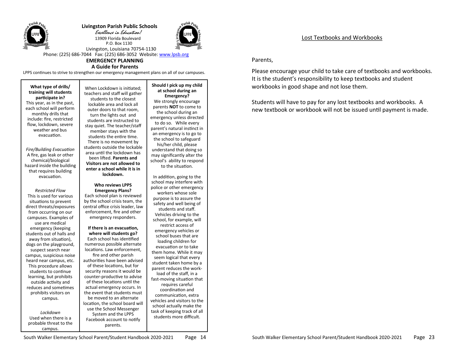

 **Livingston Parish Public Schools** Excellence in Education! 13909 Florida Boulevard

P.O. Box 1130



 Livingston, Louisiana 70754-1130 Phone: (225) 686-7044 Fax: (225) 686-3052 Website: [www.lpsb.org](http://www.lpsb.org) **EMERGENCY PLANNING**

#### **A Guide for Parents**

LPPS continues to strive to strengthen our emergency management plans on all of our campuses.

**What type of drills/ training will students participate in?**

This year, as in the past, each school will perform monthly drills that include: fire, restricted flow, lockdown, severe weather and bus evacuation.

*Fire/Building Evacuation* A fire, gas leak or other chemical/biological hazard inside the building that requires building evacuation.

*Restricted Flow* This is used for various situations to prevent direct threats/exposures from occurring on our campuses. Examples of use are medical emergency (keeping students out of halls and away from situation), dogs on the playground, suspect search near campus, suspicious noise heard near campus, etc. This procedure allows students to continue learning, but prohibits outside activity and reduces and sometimes prohibits visitors on campus.

*Lockdown* Used when there is a probable threat to the campus.

When Lockdown is initiated; teachers and staff will gather students to the closest lockable area and lock all outer doors to that room, turn the lights out and students are instructed to stay quiet. The teacher/staff member stays with the students the entire time. There is no movement by students outside the lockable area until the lockdown has been lifted. **Parents and Visitors are not allowed to enter a school while it is in** 

#### **Who reviews LPPS Emergency Plans?**

**lockdown.**

Each school plan is reviewed by the school crisis team, the central office crisis leader, law enforcement, fire and other emergency responders.

**If there is an evacuation, where will students go?** Each school has identified numerous possible alternate locations. Law enforcement, fire and other parish authorities have been advised of these locations, but for security reasons it would be counter-productive to advise of these locations until the actual emergency occurs. In the event that students must be moved to an alternate location, the school board will use the School Messenger System and the LPPS Facebook account to notify parents.

#### **Should I pick up my child at school during an**

**Emergency?** We strongly encourage parents **NOT** to come to the school during an emergency unless directed to do so. While every parent's natural instinct in an emergency is to go to the school to safeguard his/her child, please understand that doing so may significantly alter the school's ability to respond to the situation.

In addition, going to the school may interfere with police or other emergency workers whose sole purpose is to assure the safety and well being of students and staff. Vehicles driving to the school, for example, will restrict access of emergency vehicles or school buses that are loading children for evacuation or to take them home. While it may seem logical that every student taken home by a parent reduces the workload of the staff, in a fast-moving situation that requires careful coordination and

communication, extra vehicles and visitors to the school actually make the task of keeping track of all students more difficult.

Lost Textbooks and Workbooks

#### Parents,

Please encourage your child to take care of textbooks and workbooks. It is the student's responsibility to keep textbooks and student workbooks in good shape and not lose them.

Students will have to pay for any lost textbooks and workbooks. A new textbook or workbook will not be issued until payment is made.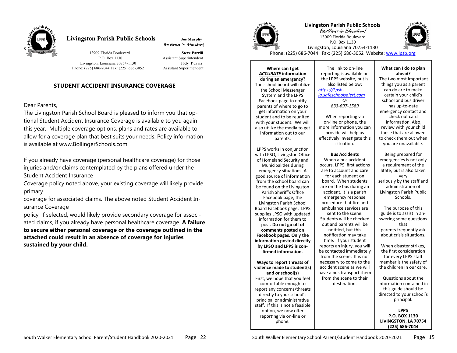

## **Livingston Parish Public Schools Joe Murphy**

Excellence in Education!

 13909 Florida Boulevard **Steve Parrill** P.O. Box 1130 Assistant Superintendent Livingston, Louisiana 70754-1130 **Jody Purvis**  Phone: (225) 686-7044 Fax: (225) 686-3052 Assistant Superintendent

## **STUDENT ACCIDENT INSURANCE COVERAGE**

#### Dear Parents,

The Livingston Parish School Board is pleased to inform you that optional Student Accident Insurance Coverage is available to you again this year. Multiple coverage options, plans and rates are available to allow for a coverage plan that best suits your needs. Policy information is available at www.BollingerSchools.com

If you already have coverage (personal healthcare coverage) for those injuries and/or claims contemplated by the plans offered under the Student Accident Insurance

Coverage policy noted above, your existing coverage will likely provide primary

coverage for associated claims. The above noted Student Accident Insurance Coverage

policy, if selected, would likely provide secondary coverage for associated claims, if you already have personal healthcare coverage. **A failure to secure either personal coverage or the coverage outlined in the attached could result in an absence of coverage for injuries sustained by your child.**



**Livingston Parish Public Schools** Excellence in Education!



P.O. Box 1130 Livingston, Louisiana 70754-1130 Phone: (225) 686-7044 Fax: (225) 686-3052 Website: [www.lpsb.org](http://www.lpsb.org)

13909 Florida Boulevard

**Where can I get**  *ACCURATE* **information during an emergency?** The school board will utilize the School Messenger System and the LPPS Facebook page to notify parents of where to go to get information on your student and to be reunited with your student. We will also utilize the media to get information out to our parents.

LPPS works in conjunction with LPSO, Livingston Office of Homeland Security and Municipalities during emergency situations. A good source of information from the school board can be found on the Livingston Parish Sheriff's Office Facebook page, the Livingston Parish School Board Facebook page. LPPS supplies LPSO with updated information for them to post. **Do not go off of comments posted on Facebook pages. Only the information posted directly by LPSO and LPPS is confirmed information. Ways to report threats of violence made to student(s) and or school(s)** First, we hope that you feel comfortable enough to report any concerns/threats directly to your school's principal or administrative staff. If this is not a feasible option, we now offer reporting via on-line or

phone.

#### The link to on-line reporting is available on the LPPS website, but is also listed below: *[https://Lpsb](https://Lpsb-la.safeschoolsalert.com)-*

*[la.safeschoolsalert.com](https://Lpsb-la.safeschoolsalert.com) Or 833-697-1589*

When reporting via on-line or phone, the more information you can provide will help us effectively investigate this situation.

#### **Bus Accidents**

When a bus accident occurs, LPPS' first actions are to account and care for each student on board. When students are on the bus during an accident, it is a parish emergency response procedure that fire and ambulance services are sent to the scene. Students will be checked out and parents will be notified, but this notification may take time. If your student reports an injury, you will be contacted immediately from the scene. It is not necessary to come to the accident scene as we will have a bus transport them from the scene to their destination.

#### **What can I do to plan ahead?**

The two most important things you as a parent can do are to make certain your child's school and bus driver has up-to-date emergency contact and check out card information. Also, review with your child those that are allowed to check them out when you are unavailable.

Being prepared for emergencies is not only a requirement of the State, but is also taken very seriously by the staff and administration of Livingston Parish Public Schools.

The purpose of this guide is to assist in answering some questions that parents frequently ask about crisis situations.

When disaster strikes, the first consideration for every LPPS staff member is the safety of the children in our care.

Questions about the information contained in this guide should be directed to your school's principal.

**LPPS P.O. BOX 1130 LIVINGSTON, LA 70754 (225) 686-7044**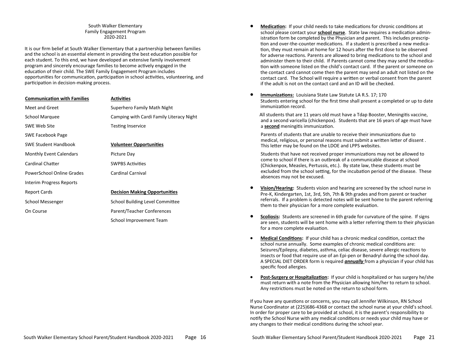#### South Walker Elementary Family Engagement Program 2020-2021

It is our firm belief at South Walker Elementary that a partnership between families and the school is an essential element in providing the best education possible for each student. To this end, we have developed an extensive family involvement program and sincerely encourage families to become actively engaged in the education of their child. The SWE Family Engagement Program includes opportunities for communication, participation in school activities, volunteering, and participation in decision-making process.

| <b>Communication with Families</b> | <b>Activities</b>                        |
|------------------------------------|------------------------------------------|
| <b>Meet and Greet</b>              | Superhero Family Math Night              |
| School Marquee                     | Camping with Cardi Family Literacy Night |
| SWE Web Site                       | <b>Testing Inservice</b>                 |
| SWE Facebook Page                  |                                          |
| <b>SWE Student Handbook</b>        | <b>Volunteer Opportunities</b>           |
| <b>Monthly Event Calendars</b>     | Picture Day                              |
| Cardinal Chatter                   | <b>SWPBS Activities</b>                  |
| PowerSchool Online Grades          | Cardinal Carnival                        |
| Interim Progress Reports           |                                          |
| <b>Report Cards</b>                | <b>Decision Making Opportunities</b>     |
| School Messenger                   | School Building Level Committee          |
| On Course                          | Parent/Teacher Conferences               |
|                                    | School Improvement Team                  |

- **Medication:** If your child needs to take medications for chronic conditions at school please contact your **school nurse**. State law requires a medication administration form be completed by the Physician and parent. This includes prescription and over-the-counter medications. If a student is prescribed a new medication, they must remain at home for 12 hours after the first dose to be observed for adverse reactions. Parents are allowed to bring medications to the school and administer them to their child. If Parents cannot come they may send the medication with someone listed on the child's contact card. If the parent or someone on the contact card cannot come then the parent may send an adult not listed on the contact card. The School will require a written or verbal consent from the parent if the adult is not on the contact card and an ID will be checked.
- **Immunizations:** Louisiana State Law Statute LA R.S. 17; 170 Students entering school for the first time shall present a completed or up to date immunization record.

 All students that are 11 years old must have a Tdap Booster, Meningitis vaccine, and a second varicella (chickenpox). Students that are 16 years of age must have a **second** meningitis immunization.

 Parents of students that are unable to receive their immunizations due to medical, religious, or personal reasons must submit a written letter of dissent . This letter may be found on the LDOE and LPPS websites.

 Students that have not received proper immunizations may not be allowed to come to school if there is an outbreak of a communicable disease at school (Chickenpox, Measles, Pertussis, etc.). By state law, these students must be excluded from the school setting, for the incubation period of the disease. These absences may not be excused.

- **Vision/Hearing:** Students vision and hearing are screened by the school nurse in Pre-K, Kindergarten, 1st, 3rd, 5th, 7th & 9th grades and from parent or teacher referrals. If a problem is detected notes will be sent home to the parent referring them to their physician for a more complete evaluation.
- **Scoliosis:** Students are screened in 6th grade for curvature of the spine. If signs are seen, students will be sent home with a letter referring them to their physician for a more complete evaluation.
- **Medical Conditions:** If your child has a chronic medical condition, contact the school nurse annually. Some examples of chronic medical conditions are: Seizures/Epilepsy, diabetes, asthma, celiac disease, severe allergic reactions to insects or food that require use of an Epi-pen or Benadryl during the school day. A SPECIAL DIET ORDER form is required *annually* from a physician if your child has specific food allergies.
- **Post-Surgery or Hospitalization:** If your child is hospitalized or has surgery he/she must return with a note from the Physician allowing him/her to return to school. Any restrictions must be noted on the return to school form.

If you have any questions or concerns, you may call Jennifer Wilkinson, RN School Nurse Coordinator at (225)686-4368 or contact the school nurse at your child's school. In order for proper care to be provided at school, it is the parent's responsibility to notify the School Nurse with any medical conditions or needs your child may have or any changes to their medical conditions during the school year.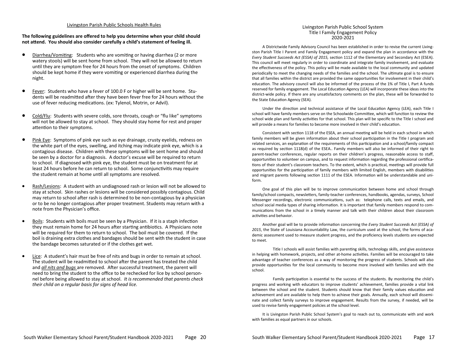#### Livingston Parish Public Schools Health Rules

#### **The following guidelines are offered to help you determine when your child should not attend. You should also consider carefully a child's statement of feeling ill.**

- Diarrhea/Vomiting: Students who are vomiting or having diarrhea (2 or more watery stools) will be sent home from school. They will not be allowed to return until they are symptom free for 24 hours from the onset of symptoms. Children should be kept home if they were vomiting or experienced diarrhea during the night.
- Fever: Students who have a fever of 100.0 F or higher will be sent home. Students will be readmitted after they have been fever free for 24 hours without the use of fever reducing medications. (ex: Tylenol, Motrin, or Advil).
- Cold/Flu: Students with severe colds, sore throats, cough or "flu like" symptoms will not be allowed to stay at school. They should stay home for rest and proper attention to their symptoms.
- Pink Eye: Symptoms of pink eye such as eye drainage, crusty eyelids, redness on the white part of the eyes, swelling, and itching may indicate pink eye, which is a contagious disease. Children with these symptoms will be sent home and should be seen by a doctor for a diagnosis. A doctor's excuse will be required to return to school. If diagnosed with pink eye, the student must be on treatment for at least 24 hours before he can return to school. Some conjunctivitis may require the student remain at home until all symptoms are resolved.
- Rash/Lesions: A student with an undiagnosed rash or lesion will not be allowed to stay at school. Skin rashes or lesions will be considered possibly contagious. Child may return to school after rash is determined to be non-contagious by a physician or to be no longer contagious after proper treatment. Students may return with a note from the Physician's office.
- Boils: Students with boils must be seen by a Physician. If it is a staph infection they must remain home for 24 hours after starting antibiotics. A Physicians note will be required for them to return to school. The boil must be covered. If the boil is draining extra clothes and bandages should be sent with the student in case the bandage becomes saturated or if the clothes get wet.
- Lice: A student's hair must be free of nits and bugs in order to remain at school. The student will be readmitted to school after the parent has treated the child and *all nits and bugs* are removed. After successful treatment, the parent will need to bring the student to the office to be rechecked for lice by school personnel before being allowed to stay at school. *It is recommended that parents check their child on a regular basis for signs of head lice.*

#### Livingston Parish Public School System Title I Family Engagement Policy 2020-2021

A Districtwide Family Advisory Council has been established in order to revise the current Livingston Parish Title I Parent and Family Engagement policy and expand the plan in accordance with the *Every Student Succeeds Act (ESSA) of 2015,* section 1112 of the Elementary and Secondary Act (ESEA). This council will meet regularly in order to coordinate and integrate family involvement, and evaluate the effectiveness of the policy. This policy will be made available to the local community and updated periodically to meet the changing needs of the families and the school. The ultimate goal is to ensure that all families within the district are provided the same opportunities for involvement in their child's education. The advisory council will also be informed of the process of the 1% of Title I, Part A funds reserved for family engagement. The Local Education Agency (LEA) will incorporate these ideas into the district-wide policy. If there are any unsatisfactory comments on the plan, these will be forwarded to the State Education Agency (SEA).

Under the direction and technical assistance of the Local Education Agency (LEA), each Title I school will have family members serve on the Schoolwide Committee, which will function to review the school wide plan and family activities for that school. This plan will be specific to the Title I school and will provide a means for families to become more involved in their child's education.

Consistent with section 1118 of the ESEA, an annual meeting will be held in each school in which family members will be given information about their school participation in the Title I program and related services, an explanation of the requirements of this participation and a school/family compact as required by section 1118(d) of the ESEA.. Family members will also be informed of their right to parent-teacher conferences, regular reports on their children's progress, reasonable access to staff, opportunities to volunteer on campus, and to request information regarding the professional certifications of their student's classroom teachers. To the extent, which is practical, meetings will provide full opportunities for the participation of family members with limited English, members with disabilities and migrant parents following section 1111 of the ESEA. Information will be understandable and uniform.

One goal of this plan will be to improve communication between home and school through family/school compacts, newsletters, family-teacher conferences, handbooks, agendas, surveys, School Messenger recordings, electronic communications, such as: telephone calls, texts and emails, and school social media types of sharing information. It is important that family members respond to communications from the school in a timely manner and talk with their children about their classroom activities and behavior.

Another goal will be to provide information concerning the *Every Student Succeeds Act (ESSA) of 2015*, the State of Louisiana Accountability Law, the curriculum used at the school, the forms of academic assessment used to measure student progress, and the proficiency levels students are expected to meet.

Title I schools will assist families with parenting skills, technology skills, and give assistance in helping with homework, projects, and other at-home activities. Families will be encouraged to take advantage of teacher conferences as a way of monitoring the progress of students. Schools will also provide opportunities for the local community to become more involved with families and with the school.

Family participation is essential to the success of the students. By monitoring the child's progress and working with educators to improve students' achievement, families provide a vital link between the school and the student. Students should know that their family values education and achievement and are available to help them to achieve their goals. Annually, each school will disseminate and collect family surveys to improve engagement. Results from the survey, if needed, will be used to revise family engagement policies at the school level.

It is Livingston Parish Public School System's goal to reach out to, communicate with and work with families as equal partners in our schools.